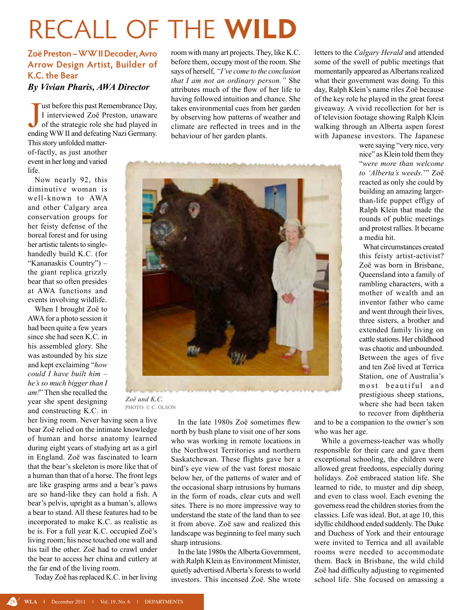## recall of the **wild**

## **Zoë Preston – WW II Decoder, Avro Arrow Design Artist, Builder of K.C. the Bear**

*By Vivian Pharis, AWA Director*

J<br>endiu Tust before this past Remembrance Day, I interviewed Zoë Preston, unaware of the strategic role she had played in ending WW II and defeating Nazi Germany.

This story unfolded matterof-factly, as just another event in her long and varied life.

Now nearly 92, this diminutive woman is well-known to AWA and other Calgary area conservation groups for her feisty defense of the boreal forest and for using her artistic talents to singlehandedly build K.C. (for "Kananaskis Country") – the giant replica grizzly bear that so often presides at AWA functions and events involving wildlife.

When I brought Zoë to AWA for a photo session it had been quite a few years since she had seen K.C. in his assembled glory. She was astounded by his size and kept exclaiming "*how could I have built him – he's so much bigger than I am!*" Then she recalled the year she spent designing and constructing K.C. in

her living room. Never having seen a live bear Zoë relied on the intimate knowledge of human and horse anatomy learned during eight years of studying art as a girl in England. Zoë was fascinated to learn that the bear's skeleton is more like that of a human than that of a horse. The front legs are like grasping arms and a bear's paws are so hand-like they can hold a fish. A bear's pelvis, upright as a human's, allows a bear to stand. All these features had to be incorporated to make K.C. as realistic as he is. For a full year K.C. occupied Zoë's living room; his nose touched one wall and his tail the other. Zoë had to crawl under the bear to access her china and cutlery at the far end of the living room.

Today Zoë has replaced K.C. in her living

room with many art projects. They, like K.C. before them, occupy most of the room. She says of herself, *"I've come to the conclusion that I am not an ordinary person."* She attributes much of the flow of her life to having followed intuition and chance. She takes environmental cues from her garden by observing how patterns of weather and climate are reflected in trees and in the behaviour of her garden plants.

letters to the *Calgary Herald* and attended some of the swell of public meetings that momentarily appeared as Albertans realized what their government was doing. To this day, Ralph Klein's name riles Zoë because of the key role he played in the great forest giveaway. A vivid recollection for her is of television footage showing Ralph Klein walking through an Alberta aspen forest with Japanese investors. The Japanese

*Zoë and K.C.*  photo: © C. OLSON

In the late 1980s Zoë sometimes flew north by bush plane to visit one of her sons who was working in remote locations in the Northwest Territories and northern Saskatchewan. These flights gave her a bird's eye view of the vast forest mosaic below her, of the patterns of water and of the occasional sharp intrusions by humans in the form of roads, clear cuts and well sites. There is no more impressive way to understand the state of the land than to see it from above. Zoë saw and realized this landscape was beginning to feel many such sharp intrusions.

In the late 1980s the Alberta Government, with Ralph Klein as Environment Minister, quietly advertised Alberta's forests to world investors. This incensed Zoë. She wrote were saying "very nice, very nice" as Klein told them they "*were more than welcome to 'Alberta's weeds.*'" Zoë reacted as only she could by building an amazing largerthan-life puppet effigy of Ralph Klein that made the rounds of public meetings and protest rallies. It became a media hit.

 What circumstances created this feisty artist-activist? Zoë was born in Brisbane, Queensland into a family of rambling characters, with a mother of wealth and an inventor father who came and went through their lives, three sisters, a brother and extended family living on cattle stations. Her childhood was chaotic and unbounded. Between the ages of five and ten Zoë lived at Terrica Station, one of Australia's most beautiful and prestigious sheep stations, where she had been taken to recover from diphtheria

and to be a companion to the owner's son who was her age.

While a governess-teacher was wholly responsible for their care and gave them exceptional schooling, the children were allowed great freedoms, especially during holidays. Zoë embraced station life. She learned to ride, to muster and dip sheep, and even to class wool. Each evening the governess read the children stories from the classics. Life was ideal. But, at age 10, this idyllic childhood ended suddenly. The Duke and Duchess of York and their entourage were invited to Terrica and all available rooms were needed to accommodate them. Back in Brisbane, the wild child Zoë had difficulty adjusting to regimented school life. She focused on amassing a